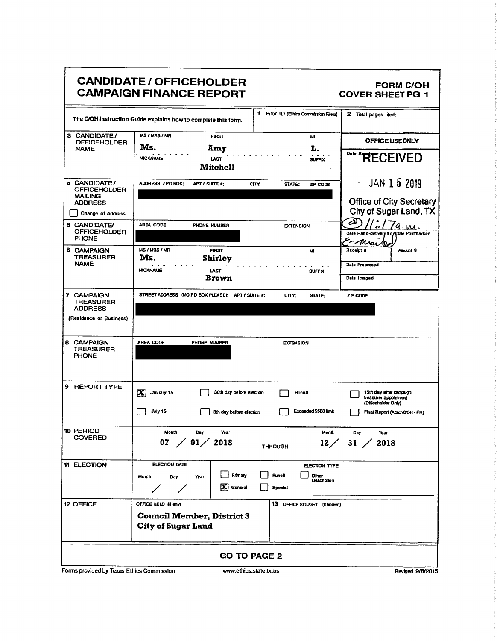|                                                                             | <b>CANDIDATE / OFFICEHOLDER</b><br><b>CAMPAIGN FINANCE REPORT</b>                                                                                                            | <b>FORM C/OH</b><br><b>COVER SHEET PG 1</b>                                                                |
|-----------------------------------------------------------------------------|------------------------------------------------------------------------------------------------------------------------------------------------------------------------------|------------------------------------------------------------------------------------------------------------|
|                                                                             | 1 Filer ID (Ethics Commission Filers)<br>The C/OH instruction Guide explains how to complete this form.                                                                      | 2 Total pages filed:                                                                                       |
| 3 CANDIDATE/<br><b>OFFICEHOLDER</b>                                         | <b>MS / MRS / MR</b><br><b>FIRST</b><br>M                                                                                                                                    | OFFICE USE ONLY                                                                                            |
| <b>NAME</b>                                                                 | Ms.<br>Amy<br>L.<br><b>NICKNAME</b><br>LAST<br><b>SUFFIX</b><br>Mitchell                                                                                                     | Date ReceiveD                                                                                              |
| 4 CANDIDATE/<br><b>OFFICEHOLDER</b><br><b>MAILING</b><br><b>ADDRESS</b>     | ADDRESS / PO BOX:<br>APT / SUITE #:<br>CITY;<br>STATE;<br>ZIP CODE                                                                                                           | JAN 15 2019<br>$\blacksquare$<br><b>Office of City Secretary</b>                                           |
| Change of Address                                                           |                                                                                                                                                                              | City of Sugar Land, TX                                                                                     |
| <b>5 CANDIDATE/</b><br><b>OFFICEHOLDER</b><br><b>PHONE</b>                  | AREA CODE<br>PHONE NUMBER<br><b>EXTENSION</b>                                                                                                                                | í)<br>'7a.u.<br>Date Hand-delivered on Date Postmarked<br>E-Mai                                            |
| <b>6 CAMPAIGN</b><br><b>TREASURER</b><br><b>NAME</b>                        | <b>MS / MRS / MR</b><br><b>FIRST</b><br>MI<br>Ms.<br><b>Shirley</b><br><b>NICKNAME</b><br><b>LAST</b><br><b>SUFFIX</b><br><b>Brown</b>                                       | Receipt #<br>Amount S<br>Date Processed<br>Date Imaged                                                     |
| 7 CAMPAIGN<br><b>TREASURER</b><br><b>ADDRESS</b><br>(Residence or Business) | STREET ADDRESS (NO PO BOX PLEASE); APT / SUITE #;<br>CITY;<br>STATE:                                                                                                         | ZIP CODE                                                                                                   |
| 8 CAMPAIGN<br><b>TREASURER</b><br><b>PHONE</b>                              | AREA CODE<br>PHONE NUMBER<br><b>EXTENSION</b>                                                                                                                                |                                                                                                            |
| 9 REPORT TYPE                                                               | ÞЮ.<br>January 15<br>30th day before election<br>Runott<br>Exceeded \$500 limit<br>July 15<br>8th day before election                                                        | 15th day after campaign<br>treasurer appointment<br>(Officeholder Only)<br>Final Report (Attach C/CH - FR) |
| 10 PERIOD<br><b>COVERED</b>                                                 | Month<br>Day<br>Year<br>Month<br>07 / 01 / 2018<br><b>THROUGH</b>                                                                                                            | Year<br>Day<br>12 / 31 / 2018                                                                              |
| <b>11 ELECTION</b>                                                          | <b>ELECTION DATE</b><br>ELECTION TYPE<br>Primary<br><b>Runott</b><br>Other<br>Month<br>Day<br>Year<br>Description<br>X General<br><b>Special</b><br>$\overline{\phantom{a}}$ |                                                                                                            |
| 12 OFFICE                                                                   | OFFICE HELD (il any)<br>13 OFFICE SOUGHT (# known)<br><b>Council Member, District 3</b><br><b>City of Sugar Land</b>                                                         |                                                                                                            |
|                                                                             | <b>GO TO PAGE 2</b>                                                                                                                                                          |                                                                                                            |
| Forms provided by Texas Ethics Commission                                   | www.ethics.state.tx.us                                                                                                                                                       | Revised 9/8/2015                                                                                           |

 $\sim 10^{11}$ 

 $\Gamma$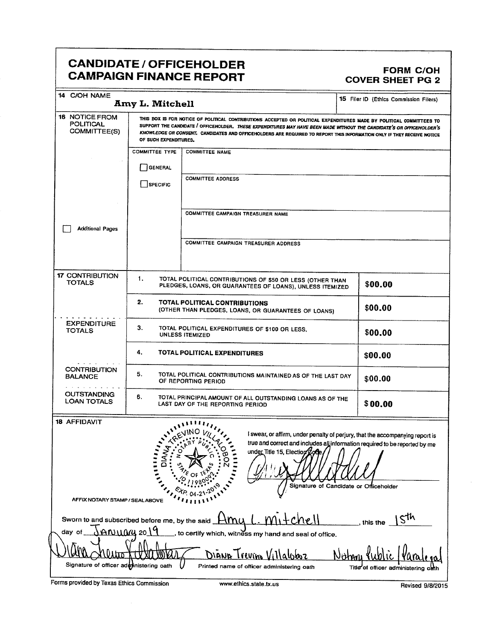## CANDIDATE/ OFFICEHOLDER **CAMPAIGN FINANCE REPORT**

## FORM C/OH<br>COVER SHEET PG 2

| <b>Amy L. Mitchell</b> | THIS BOX IS FOR NOTICE OF POLITICAL CONTRIBUTIONS ACCEPTED OR POLITICAL EXPENDITURES MADE BY POLITICAL COMMITTEES TO<br>SUPPORT THE CANDIDATE / OFFICEHOLDER, THESE EXPENDITURES MAY HAVE BEEN MADE WITHOUT THE CANDIDATE'S OR OFFICEHOLDER'S<br>KNOWLEDGE OR CONSENT. CANDIDATES AND OFFICEHOLDERS ARE REQUIRED TO REPORT THIS INFORMATION ONLY IF THEY RECEIVE NOTICE |                                                                                                                                                                                                                                                                                                                                                                                                             | 15 Filer ID (Ethics Commission Filers)                                                                                                                                                                                                                                                                                                                                                                                                                                                                                       |
|------------------------|-------------------------------------------------------------------------------------------------------------------------------------------------------------------------------------------------------------------------------------------------------------------------------------------------------------------------------------------------------------------------|-------------------------------------------------------------------------------------------------------------------------------------------------------------------------------------------------------------------------------------------------------------------------------------------------------------------------------------------------------------------------------------------------------------|------------------------------------------------------------------------------------------------------------------------------------------------------------------------------------------------------------------------------------------------------------------------------------------------------------------------------------------------------------------------------------------------------------------------------------------------------------------------------------------------------------------------------|
|                        |                                                                                                                                                                                                                                                                                                                                                                         |                                                                                                                                                                                                                                                                                                                                                                                                             |                                                                                                                                                                                                                                                                                                                                                                                                                                                                                                                              |
|                        |                                                                                                                                                                                                                                                                                                                                                                         |                                                                                                                                                                                                                                                                                                                                                                                                             |                                                                                                                                                                                                                                                                                                                                                                                                                                                                                                                              |
|                        | <b>COMMITTEE NAME</b>                                                                                                                                                                                                                                                                                                                                                   |                                                                                                                                                                                                                                                                                                                                                                                                             |                                                                                                                                                                                                                                                                                                                                                                                                                                                                                                                              |
|                        |                                                                                                                                                                                                                                                                                                                                                                         |                                                                                                                                                                                                                                                                                                                                                                                                             |                                                                                                                                                                                                                                                                                                                                                                                                                                                                                                                              |
|                        | <b>COMMITTEE ADDRESS</b>                                                                                                                                                                                                                                                                                                                                                |                                                                                                                                                                                                                                                                                                                                                                                                             |                                                                                                                                                                                                                                                                                                                                                                                                                                                                                                                              |
|                        |                                                                                                                                                                                                                                                                                                                                                                         |                                                                                                                                                                                                                                                                                                                                                                                                             |                                                                                                                                                                                                                                                                                                                                                                                                                                                                                                                              |
|                        |                                                                                                                                                                                                                                                                                                                                                                         |                                                                                                                                                                                                                                                                                                                                                                                                             |                                                                                                                                                                                                                                                                                                                                                                                                                                                                                                                              |
|                        | <b>COMMITTEE CAMPAIGN TREASURER NAME</b>                                                                                                                                                                                                                                                                                                                                |                                                                                                                                                                                                                                                                                                                                                                                                             |                                                                                                                                                                                                                                                                                                                                                                                                                                                                                                                              |
|                        |                                                                                                                                                                                                                                                                                                                                                                         |                                                                                                                                                                                                                                                                                                                                                                                                             |                                                                                                                                                                                                                                                                                                                                                                                                                                                                                                                              |
|                        |                                                                                                                                                                                                                                                                                                                                                                         |                                                                                                                                                                                                                                                                                                                                                                                                             |                                                                                                                                                                                                                                                                                                                                                                                                                                                                                                                              |
|                        |                                                                                                                                                                                                                                                                                                                                                                         |                                                                                                                                                                                                                                                                                                                                                                                                             |                                                                                                                                                                                                                                                                                                                                                                                                                                                                                                                              |
|                        |                                                                                                                                                                                                                                                                                                                                                                         |                                                                                                                                                                                                                                                                                                                                                                                                             |                                                                                                                                                                                                                                                                                                                                                                                                                                                                                                                              |
|                        |                                                                                                                                                                                                                                                                                                                                                                         |                                                                                                                                                                                                                                                                                                                                                                                                             |                                                                                                                                                                                                                                                                                                                                                                                                                                                                                                                              |
|                        |                                                                                                                                                                                                                                                                                                                                                                         |                                                                                                                                                                                                                                                                                                                                                                                                             | \$00.00                                                                                                                                                                                                                                                                                                                                                                                                                                                                                                                      |
| 2.                     |                                                                                                                                                                                                                                                                                                                                                                         |                                                                                                                                                                                                                                                                                                                                                                                                             |                                                                                                                                                                                                                                                                                                                                                                                                                                                                                                                              |
|                        |                                                                                                                                                                                                                                                                                                                                                                         |                                                                                                                                                                                                                                                                                                                                                                                                             | \$00.00                                                                                                                                                                                                                                                                                                                                                                                                                                                                                                                      |
| З.                     |                                                                                                                                                                                                                                                                                                                                                                         |                                                                                                                                                                                                                                                                                                                                                                                                             |                                                                                                                                                                                                                                                                                                                                                                                                                                                                                                                              |
| <b>UNLESS ITEMIZED</b> |                                                                                                                                                                                                                                                                                                                                                                         |                                                                                                                                                                                                                                                                                                                                                                                                             | \$00,00                                                                                                                                                                                                                                                                                                                                                                                                                                                                                                                      |
|                        |                                                                                                                                                                                                                                                                                                                                                                         |                                                                                                                                                                                                                                                                                                                                                                                                             | \$00.00                                                                                                                                                                                                                                                                                                                                                                                                                                                                                                                      |
|                        |                                                                                                                                                                                                                                                                                                                                                                         |                                                                                                                                                                                                                                                                                                                                                                                                             | \$00.00                                                                                                                                                                                                                                                                                                                                                                                                                                                                                                                      |
|                        |                                                                                                                                                                                                                                                                                                                                                                         |                                                                                                                                                                                                                                                                                                                                                                                                             | \$00.00                                                                                                                                                                                                                                                                                                                                                                                                                                                                                                                      |
| DIAN                   | under Title 15, Election god                                                                                                                                                                                                                                                                                                                                            |                                                                                                                                                                                                                                                                                                                                                                                                             |                                                                                                                                                                                                                                                                                                                                                                                                                                                                                                                              |
|                        |                                                                                                                                                                                                                                                                                                                                                                         |                                                                                                                                                                                                                                                                                                                                                                                                             |                                                                                                                                                                                                                                                                                                                                                                                                                                                                                                                              |
|                        |                                                                                                                                                                                                                                                                                                                                                                         |                                                                                                                                                                                                                                                                                                                                                                                                             | 5th<br>this the                                                                                                                                                                                                                                                                                                                                                                                                                                                                                                              |
|                        |                                                                                                                                                                                                                                                                                                                                                                         |                                                                                                                                                                                                                                                                                                                                                                                                             |                                                                                                                                                                                                                                                                                                                                                                                                                                                                                                                              |
|                        |                                                                                                                                                                                                                                                                                                                                                                         |                                                                                                                                                                                                                                                                                                                                                                                                             |                                                                                                                                                                                                                                                                                                                                                                                                                                                                                                                              |
|                        | DIANA<br>Veuin<br>Printed name of officer administering oath                                                                                                                                                                                                                                                                                                            |                                                                                                                                                                                                                                                                                                                                                                                                             | Title of officer administering oath                                                                                                                                                                                                                                                                                                                                                                                                                                                                                          |
|                        | <b>COMMITTEE TYPE</b><br>GENERAL<br>SPECIFIC<br>AFFIX NOTARY STAMP / SEALABOVE<br>Y(9) Y.A. /<br>Signature of officer administering oath                                                                                                                                                                                                                                | OF SUCH EXPENDITURES.<br>COMMITTEE CAMPAIGN TREASURER ADDRESS<br>TOTAL POLITICAL CONTRIBUTIONS<br>(OTHER THAN PLEDGES, LOANS, OR GUARANTEES OF LOANS)<br>TOTAL POLITICAL EXPENDITURES OF \$100 OR LESS.<br>TOTAL POLITICAL EXPENDITURES<br>OF REPORTING PERIOD<br>LAST DAY OF THE REPORTING PERIOD<br><b>WARNING WASHING WARDEN</b><br><b>WAREWING VS</b><br>Sworn to and subscribed before me, by the said | TOTAL POLITICAL CONTRIBUTIONS OF \$50 OR LESS (OTHER THAN<br>PLEDGES, LOANS, OR GUARANTEES OF LOANS), UNLESS ITEMIZED<br>TOTAL POLITICAL CONTRIBUTIONS MAINTAINED AS OF THE LAST DAY<br>TOTAL PRINCIPAL AMOUNT OF ALL OUTSTANDING LOANS AS OF THE<br>I swear, or affirm, under penalty of perjury, that the accompanying report is<br>true and correct and includes all information required to be reported by me<br>Signature of Candidate or Officeholder<br>to certify which, witness my hand and seal of office.<br>Nota |

Forms provided by Texas Ethics Commission www.ethics.state.tx.us Revised 9/8/2015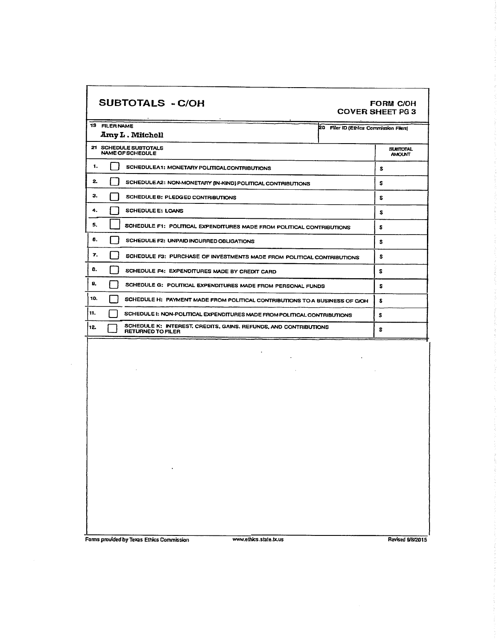| <b>SUBTOTALS - C/OH</b>                                                                      |                                        | <b>FORM C/OH</b><br><b>COVER SHEET PG 3</b> |
|----------------------------------------------------------------------------------------------|----------------------------------------|---------------------------------------------|
| <b>19 FILER NAME</b><br>Amy L. Mitchell                                                      | 20 Filer ID (Ethics Commission Filers) |                                             |
| 21 SCHEDULE SUBTOTALS<br><b>NAME OF SCHEDULE</b>                                             |                                        | <b>SUBTOTAL</b><br><b>AMOUNT</b>            |
| 1.<br>SCHEDULEA1: MONETARY POLITICALCONTRIBUTIONS                                            |                                        | S                                           |
| $\mathbf{z}$<br>SCHEDULE A2: NON-MONETARY (IN-KIND) POLITICAL CONTRIBUTIONS                  |                                        | s                                           |
| з.<br>SCHEDULE B: PLEDGED CONTRIBUTIONS                                                      |                                        | S                                           |
| 4.<br>SCHEDULE E: LOANS                                                                      |                                        | s                                           |
| 5.<br>SCHEDULE F1: POLITICAL EXPENDITURES MADE FROM POLITICAL CONTRIBUTIONS                  |                                        | s                                           |
| 6.<br>SCHEDULE F2: UNPAID INCURRED OBLIGATIONS                                               |                                        | s                                           |
| 7.<br>SCHEDULE F3: PURCHASE OF INVESTMENTS MADE FROM POLITICAL CONTRIBUTIONS                 | s                                      |                                             |
| 8.<br>SCHEDULE F4: EXPENDITURES MADE BY CREDIT CARD                                          | s                                      |                                             |
| 9,<br>SCHEDULE G: POLITICAL EXPENDITURES MADE FROM PERSONAL FUNDS                            | s                                      |                                             |
| 10.<br>SCHEDULE H: PAYMENT MADE FROM POLITICAL CONTRIBUTIONS TO A BUSINESS OF COH            | S                                      |                                             |
| 11.<br>SCHEDULE I: NON-POLITICAL EXPENDITURES MADE FROM POLITICAL CONTRIBUTIONS              | s                                      |                                             |
| SCHEDULE K: INTEREST, CREDITS, GAINS, REFUNDS, AND CONTRIBUTIONS<br>12.<br>RETURNED TO FILER |                                        | S                                           |
|                                                                                              |                                        |                                             |

Forms provided by Texas Ethics Commission www.ethics.state.tx.us Revised 9/202015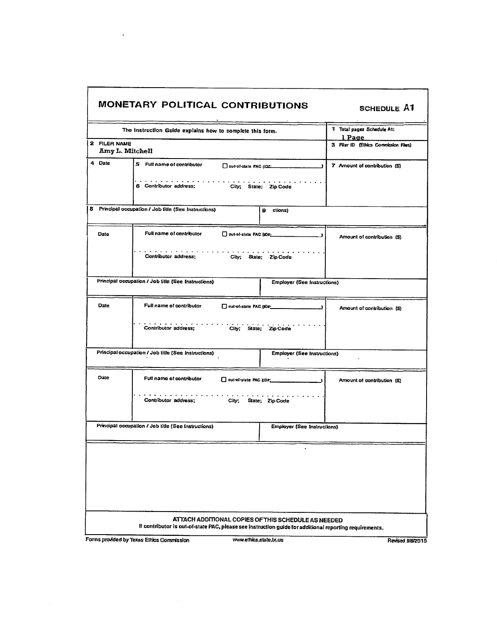|              | MONETARY POLITICAL CONTRIBUTIONS                                                                                                                               | SCHEDULE A1                           |
|--------------|----------------------------------------------------------------------------------------------------------------------------------------------------------------|---------------------------------------|
|              | The Instruction Guide explains how to complete this form.                                                                                                      | 1 Total pages Schedule A1:<br>1 Page  |
| 2 FILER NAME | <b>Amy L. Mitchell</b>                                                                                                                                         | 3 Filer ID (Ethics Commission Filers) |
| 4 Date       | 5 Full name of contributor<br>out-of-state PAC (102:                                                                                                           | 7 Amount of contribution (\$)<br>→    |
|              | .<br>6 Contributor address;<br>City; State; Zip Code                                                                                                           |                                       |
|              | 8 Principal occupation / Job title (See Instructions)<br>9 ctions)                                                                                             |                                       |
| <b>Date</b>  | Full name of contributor<br>Out-of-state PAC (IDs:                                                                                                             | ا د_<br>Amount of contribution (\$)   |
|              | Contributor address:<br>City; State; Zip Code                                                                                                                  |                                       |
|              | Principal occupation / Job title (See Instructions)<br><b>Employer (See Instructions)</b>                                                                      |                                       |
| Date         | Full name of contributor                                                                                                                                       | Amount of contribution (S)            |
|              | Contributor address;<br>City; State; Zip Code                                                                                                                  |                                       |
|              | Principal occupation / Job title (See Instructions)<br><b>Employer (See Instructions)</b>                                                                      |                                       |
| Date         | Full name of contributor<br>$\Box$ out-of-state PAC (IDF                                                                                                       | Amount of contribution (5)            |
|              | . <i>. .</i><br>Contributor address;<br>City: State; Zip Code                                                                                                  |                                       |
|              | Principal occupation / Job title (See Instructions)<br><b>Employer (See Instructions)</b>                                                                      |                                       |
|              |                                                                                                                                                                |                                       |
|              |                                                                                                                                                                |                                       |
|              |                                                                                                                                                                |                                       |
|              | ATTACH ADDITIONAL COPIES OF THIS SCHEDULE AS NEEDED<br>If contributor is out-of-state PAC, please see instruction guide for additional reporting requirements. |                                       |
|              | Forms provided by Texas Ethics Commission<br>www.elhics.state.tx.us                                                                                            | Revised 9/8/2015                      |

 $\mathcal{L}^{\text{max}}_{\text{max}}$  , where  $\mathcal{L}^{\text{max}}_{\text{max}}$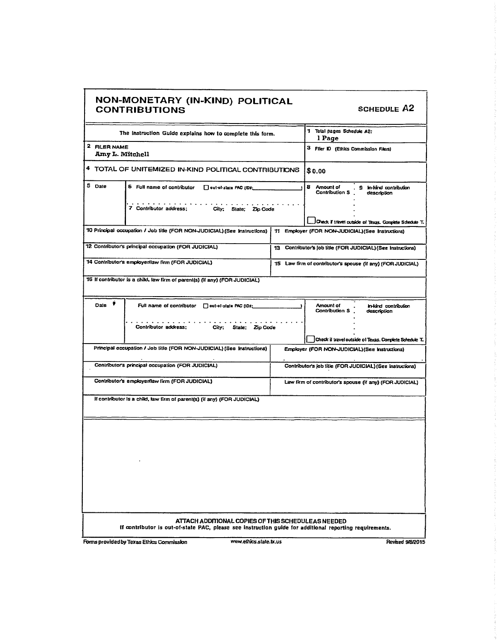|                                 | NON-MONETARY (IN-KIND) POLITICAL<br><b>CONTRIBUTIONS</b>                                                                                                      |      | <b>SCHEDULE A2</b>                                                                                          |
|---------------------------------|---------------------------------------------------------------------------------------------------------------------------------------------------------------|------|-------------------------------------------------------------------------------------------------------------|
|                                 | The Instruction Guide explains how to complete this form.                                                                                                     |      | 1 Total pages Schedule A2:<br>1 Page                                                                        |
| 2 FILER NAME<br>Amy L. Mitchell |                                                                                                                                                               |      | 3 Filer IO (Ethics Commission Filers)                                                                       |
|                                 | 4 TOTAL OF UNITEMIZED IN-KIND POLITICAL CONTRIBUTIONS                                                                                                         |      | \$0.00                                                                                                      |
| 5 Date                          | 6 Full name of contributor<br>out-of-state PAC (IDF;                                                                                                          |      | 8 Amount of<br>. 9 In-Idnd contribution<br>Contribution S.<br>description                                   |
|                                 | 7 Contributor address:<br>City; State; Zip Code                                                                                                               |      |                                                                                                             |
|                                 | 10 Principal occupation / Job title (FOR NON-JUDICIAL) (See Instructions)                                                                                     |      | Check if travel outside of Texas. Complete Scheckte T.<br>11 Employer (FOR NON-JUDICIAL) (See Instructions) |
|                                 | 12 Contributor's principal occupation (FOR JUDICIAL)                                                                                                          | 13 - | Contributor's job litle (FOR JUDICIAL) (See Instructions)                                                   |
|                                 | 14 Contributor's employer/law firm (FOR JUDICIAL)                                                                                                             |      | 15 Law firm of contributor's spouse (if any) (FOR JUDICIAL)                                                 |
|                                 | 16 If contributor is a child, law firm of parent(s) (if any) (FOR JUDICIAL)                                                                                   |      |                                                                                                             |
| Date $\overline{\mathbf{v}}$    | Full name of contributor [ ] out-of-state PAC (IDs;                                                                                                           |      | Amount of<br><b>In-Idrid contribution</b><br>Contribution S<br>description                                  |
|                                 | Contributor address:<br>City; State; Zip Code                                                                                                                 |      | Check il travel outside of Texas. Complete Schedule T.                                                      |
|                                 | Principal occupation / Job title (FOR NON-JUDICIAL) [See Instructions)                                                                                        |      | Employer (FOR NON-JUDICIAL) (See Instructions)                                                              |
|                                 | Contributor's principal occupation (FOR JUDICIAL)                                                                                                             |      | Contributor's job title (FOR JUDICIAL) (See Instructions)                                                   |
|                                 | Contributor's employer/law firm (FOR JUDICIAL)                                                                                                                |      | Law firm of contributor's spouse (if any) (FOR JUDICIAL)                                                    |
|                                 | If contributor is a child, law firm of parent(s) (if any) (FOR JUDICIAL)                                                                                      |      |                                                                                                             |
|                                 |                                                                                                                                                               |      |                                                                                                             |
|                                 |                                                                                                                                                               |      |                                                                                                             |
|                                 |                                                                                                                                                               |      |                                                                                                             |
|                                 |                                                                                                                                                               |      |                                                                                                             |
|                                 |                                                                                                                                                               |      |                                                                                                             |
|                                 | ATTACH ADDITIONAL COPIES OF THIS SCHEDULEAS NEEDED<br>If contributor is out-of-state PAC, please see instruction guide for additional reporting requirements. |      |                                                                                                             |
|                                 | www.ethics.slate.tx.us<br>Forms provided by Texas Ethics Commission                                                                                           |      | <b>Revised 9/8/2015</b>                                                                                     |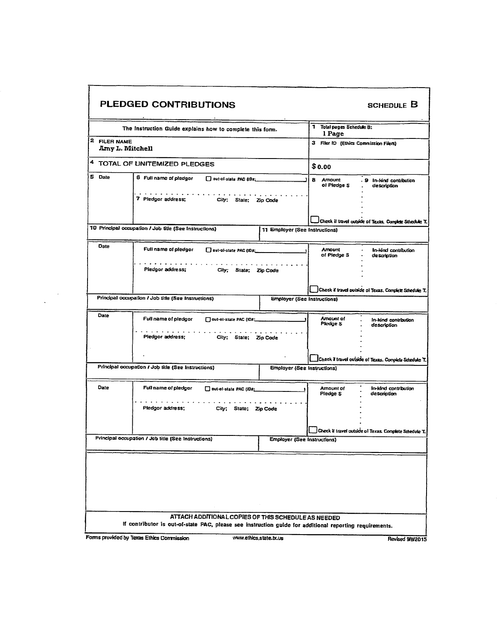|              | The instruction Guide explains how to complete this form. |                                    | 1 Total pages Schedule B:<br>l Page   |                                                        |
|--------------|-----------------------------------------------------------|------------------------------------|---------------------------------------|--------------------------------------------------------|
| 2 FILER NAME | Amy L. Mitchell                                           |                                    | 3 Filer ID (Ethics Commission Filers) |                                                        |
| 4            | TOTAL OF UNITEMIZED PLEDGES                               |                                    | \$0.00                                |                                                        |
| 5 Date       | 6 Full name of pledgor<br>O out-of-state PAC (IDs.        |                                    | <b>8</b> Amount<br>ol Piedge S        | - 9 In-kind contribution<br>description                |
|              | 7 Piedgor address;<br>City; State; Zip Code               |                                    |                                       |                                                        |
|              |                                                           |                                    |                                       | Check if travel outside of Texas, Complete Schedule T. |
|              | 10 Principal occupation / Job title (See Instructions)    | 11 Employer (See Instructions)     |                                       |                                                        |
| Date         | Full name of pledger                                      |                                    | Amount<br>of Pledge S                 | In-kind contribution<br>description                    |
|              | Pledgor address;<br>City; State; Zip Code                 |                                    |                                       |                                                        |
|              | Principal occupation / Job title (See Instructions)       | <b>Employer (See Instructions)</b> |                                       | Check il travel outside of Texas. Complete Schedule T. |
|              |                                                           |                                    |                                       |                                                        |
| Date         | Full name of pledgor<br>out-ot-state PAC (IDF:            |                                    | Amount of<br>Pledge S                 | In-kind contribution<br>description                    |
|              | Pledgor address;<br>City; State; Zip Code                 |                                    |                                       |                                                        |
|              |                                                           |                                    |                                       | Check 7 travel outside of Texas, Complete Schedule T.  |
|              | Principal occupation / Job title (See Instructions)       | <b>Employer (See Instructions)</b> |                                       |                                                        |
| <b>Date</b>  | Full name of pledgor<br>out-of-state PAC (IDs:            |                                    | Amount of<br>Pledge \$                | In-Idnd contribution<br>description                    |
|              | Pledgor address;<br>City; State; Zip Code                 |                                    |                                       |                                                        |
|              |                                                           |                                    |                                       | Check if travel outside of Texas. Complete Schedule T. |
|              | Principal occupation / Job title (See Instructions)       | <b>Employer (See Instructions)</b> |                                       |                                                        |
|              |                                                           |                                    |                                       |                                                        |
|              |                                                           |                                    |                                       |                                                        |
|              |                                                           |                                    |                                       |                                                        |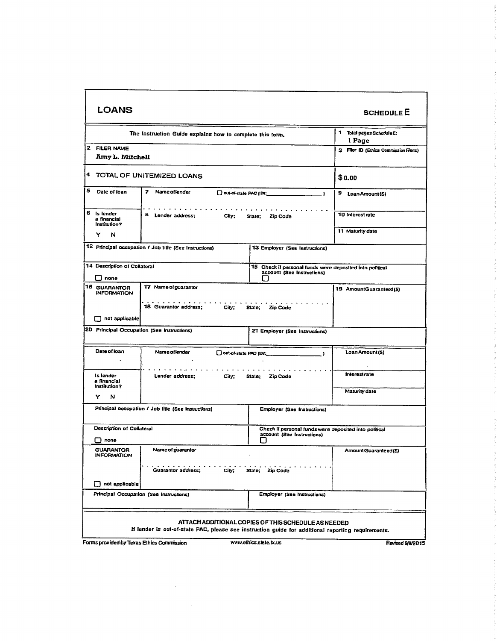| <b>LOANS</b>                                                |                                                                                                    |                                                                                          | <b>SCHEDULE E</b>                     |
|-------------------------------------------------------------|----------------------------------------------------------------------------------------------------|------------------------------------------------------------------------------------------|---------------------------------------|
|                                                             | The Instruction Guide explains how to complete this form.                                          |                                                                                          | 1 Total pages Schedule E:<br>l Page   |
| 2 FILER NAME<br><b>Amy L. Mitchell</b>                      |                                                                                                    |                                                                                          | 3 Filer ID (Ethics Commission Filers) |
| 4                                                           | TOTAL OF UNITEMIZED LOANS                                                                          |                                                                                          | \$0.00                                |
| 5<br>Date of loan                                           | 7 Name of lender                                                                                   | out-of-state PAC (IDs:<br>$\cdot$                                                        | 9 Loan Amount (5)                     |
| 6 Is lender<br>a financial<br>Institution?                  | 8 Lender address;<br>City;                                                                         | State; Zip Code                                                                          | 10 Interest rate                      |
| Y<br>N                                                      |                                                                                                    |                                                                                          | 11 Maturity date                      |
|                                                             | 12 Principal occupation / Job title (See Instructions)                                             | 13 Employer (See Instructions)                                                           |                                       |
| 14 Description of Collateral<br>$\square$ none              |                                                                                                    | 15 Check if personal funds were deposited into political<br>account (See Instructions)   |                                       |
| 16 GUARANTOR<br><b>INFORMATION</b><br>$\Box$ not applicable | 17 Name of guarantor<br>18 Guarantor address; City; State; Zip Code                                |                                                                                          | 19 AmountGuarantecd(S)                |
|                                                             | 2D Principal Occupation (See Instructions)                                                         | 21 Employer (See Instructions)                                                           |                                       |
| Date of Ioan                                                | Name offender<br>out-of-state PAC (IDF:                                                            |                                                                                          | Loan Amount (S)                       |
| is lender<br>a financial                                    | Lender address;<br>City;                                                                           | State; Zip Code                                                                          | Interestrate                          |
| Institution?<br>Y<br>N                                      |                                                                                                    |                                                                                          | Maturity date                         |
|                                                             | Principal occupation / Job title (See Instructions)                                                | Employer (See Instructions)                                                              |                                       |
| Description of Collateral<br>none                           |                                                                                                    | Check if personal funds were deposited into political<br>account (See Instructions)<br>H |                                       |
| 5UARANI UR<br><b>INFORMATION</b>                            | Name of guarantor                                                                                  |                                                                                          | Amount Guaranteed (5)                 |
|                                                             | Guarantor address;<br>City;                                                                        | State; Zip Code                                                                          |                                       |
|                                                             |                                                                                                    |                                                                                          |                                       |
| $\Box$ not applicable                                       |                                                                                                    |                                                                                          |                                       |
|                                                             | Principal Occupation (See Instructions)                                                            | Employer (See Instructions)                                                              |                                       |
|                                                             | If lender is out-of-state PAC, please see instruction guide for additional reporting requirements. | ATTACH ADDITIONAL COPIES OF THIS SCHEDULE AS NEEDED                                      |                                       |

 $\label{eq:2.1} \frac{1}{2} \left( \frac{1}{2} \left( \frac{1}{2} \right) \right) \left( \frac{1}{2} \left( \frac{1}{2} \right) \right) \left( \frac{1}{2} \right) \left( \frac{1}{2} \right) \left( \frac{1}{2} \right) \left( \frac{1}{2} \right) \left( \frac{1}{2} \right) \left( \frac{1}{2} \right) \left( \frac{1}{2} \right) \left( \frac{1}{2} \right) \left( \frac{1}{2} \right) \left( \frac{1}{2} \right) \left( \frac{1}{2} \right) \left( \frac{1}{2$ 

 $\label{eq:2.1} \mathcal{L}(\mathcal{L}^{\text{max}}_{\mathcal{L}}(\mathcal{L}^{\text{max}}_{\mathcal{L}}(\mathcal{L}^{\text{max}}_{\mathcal{L}}(\mathcal{L}^{\text{max}}_{\mathcal{L}^{\text{max}}_{\mathcal{L}}})))))$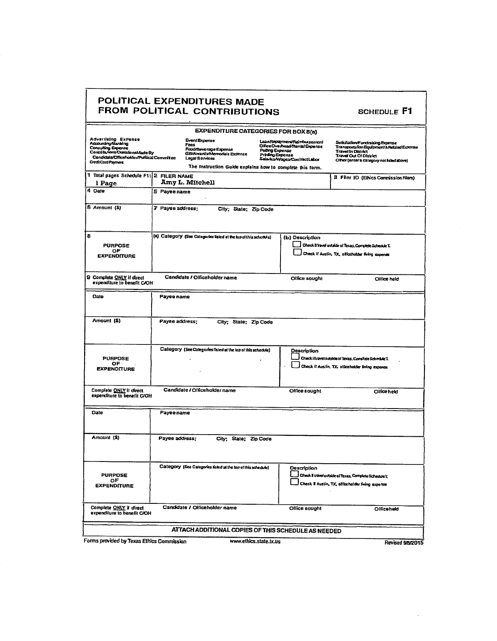|                                                                                                                                                                               | POLITICAL EXPENDITURES MADE<br>FROM POLITICAL CONTRIBUTIONS                                                                                                         | SCHEDULE F1                                                                                                                                                                                                                                                                                                               |
|-------------------------------------------------------------------------------------------------------------------------------------------------------------------------------|---------------------------------------------------------------------------------------------------------------------------------------------------------------------|---------------------------------------------------------------------------------------------------------------------------------------------------------------------------------------------------------------------------------------------------------------------------------------------------------------------------|
|                                                                                                                                                                               | <b>EXPENDITURE CATEGORIES FOR BOX 8(a)</b>                                                                                                                          |                                                                                                                                                                                                                                                                                                                           |
| <b>Advertising Expense</b><br>Accounting@anting<br>Consulting Expense<br>Contributors/DaratonsMade By<br>Candidate/Officeholder/Political Committee<br><b>OrdiCardPayment</b> | Event Expense<br>Fees<br>Food/Beverage Expense<br><b>GIVAwards/Memorials Expense</b><br>Legal Services<br>The Instruction Guide explains how to complete this form. | Loan Repayment/Reinbursenten!<br>Soticiation/Fundraking Expense<br>OfficeOvarhead/Rental Expense<br>Transportation Equipment & Related Expense<br>Polling Expense<br><b>Travel in District</b><br>Printing Expense<br>Travel Out Of District<br>Salaries/Wages/ContractLabor<br>Other (enter a category not listed above) |
| 1 Total pages Schedule F1: 2 FILER NAME<br>l Page                                                                                                                             | Amy L. Mitchell                                                                                                                                                     | 3 Filer ID (Ethics Commission Filers)                                                                                                                                                                                                                                                                                     |
| 4 Daie                                                                                                                                                                        | 5 Payee name                                                                                                                                                        |                                                                                                                                                                                                                                                                                                                           |
| 6 Amount (S)                                                                                                                                                                  | 7 Payee address:<br>City; State; Zip Code                                                                                                                           |                                                                                                                                                                                                                                                                                                                           |
| 8<br><b>PURPOSE</b><br>ОF<br><b>EXPENDITURE</b>                                                                                                                               | (a) Category (See Categories listed at the top of this schedule)                                                                                                    | (b) Description<br>Check II travel outside of Texas. Complete Scheente T.<br>Check if Austin, TX, officeholder fiving expense                                                                                                                                                                                             |
| 9 Complete ONLY if direct<br>expenditure to benefit C/OH                                                                                                                      | Candidate / Olficeholder name                                                                                                                                       | Office sought<br>Office held                                                                                                                                                                                                                                                                                              |
| Date                                                                                                                                                                          | Payee name                                                                                                                                                          |                                                                                                                                                                                                                                                                                                                           |
| Amount (\$)                                                                                                                                                                   | Payee address:<br>City; State; Zip Code                                                                                                                             |                                                                                                                                                                                                                                                                                                                           |
| <b>PURPOSE</b><br>OF<br><b>EXPENDITURE</b>                                                                                                                                    | Category (See Categories fisted at the top of this schedule)                                                                                                        | Description<br>Check iltraveloutside of Texas. Complete Scheckle T.<br>Check if Austin, TX, officeholder living expense.                                                                                                                                                                                                  |
| Complete ONLY il direct<br>expenditure to benefit C/OH                                                                                                                        | Candidate / Officeholder name                                                                                                                                       | Office sought<br>Office held                                                                                                                                                                                                                                                                                              |
| Date                                                                                                                                                                          | Payee name                                                                                                                                                          |                                                                                                                                                                                                                                                                                                                           |
| Amount (\$)                                                                                                                                                                   | Payee address;<br>City; State; Zip Code                                                                                                                             |                                                                                                                                                                                                                                                                                                                           |
| <b>PURPOSE</b><br>ОF<br><b>EXPENDITURE</b>                                                                                                                                    | Category (See Categories listed at the top of this schedule)                                                                                                        | Description<br>Check il travel outside of Texas, Complete Scheckle T,<br>Check if Austin, TX, officeholder fiving expense                                                                                                                                                                                                 |
| Complete ONLY i direct<br>expenditure to benefit C/OH                                                                                                                         | Candidate / Officeholder name                                                                                                                                       | Office sought<br>Officeheld                                                                                                                                                                                                                                                                                               |
|                                                                                                                                                                               | ATTACH ADDITIONAL COPIES OF THIS SCHEDULE AS NEEDED                                                                                                                 |                                                                                                                                                                                                                                                                                                                           |
| Forms provided by Texas Ethics Commission                                                                                                                                     | www.ethics.state.tx.us                                                                                                                                              | <b>Revised 9/8/2015</b>                                                                                                                                                                                                                                                                                                   |

T

 $\ddot{\phantom{a}}$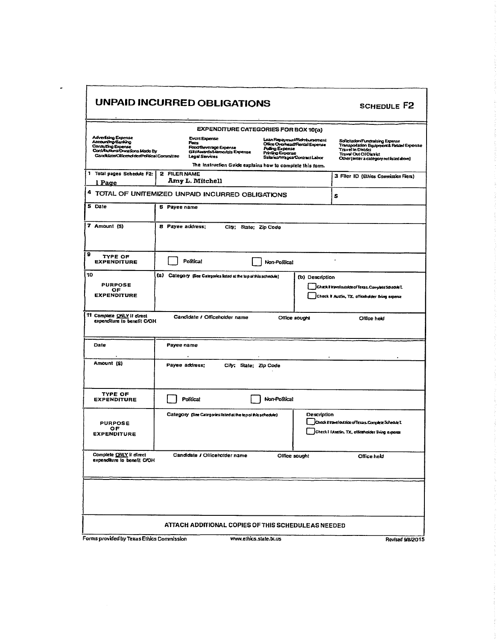| UNPAID INCURRED OBLIGATIONS                                                                                                                  |                  |                                                                         |                                                                  |                                                                                                        |                                                                                                  | SCHEDULE F2                                                                                                                                                               |
|----------------------------------------------------------------------------------------------------------------------------------------------|------------------|-------------------------------------------------------------------------|------------------------------------------------------------------|--------------------------------------------------------------------------------------------------------|--------------------------------------------------------------------------------------------------|---------------------------------------------------------------------------------------------------------------------------------------------------------------------------|
|                                                                                                                                              |                  |                                                                         |                                                                  | <b>EXPENDITURE CATEGORIES FOR BOX 10(a)</b>                                                            |                                                                                                  |                                                                                                                                                                           |
| <b>Adverising Expense</b><br>Accounting Banking<br>Consulting Expense<br>Contributions Made By<br>Candidate/Officeholder/Political Committee |                  | <b>Evant Expense</b><br>Fecs<br>Food/Beverage Expense<br>Legal Services | Gil/Awards/Memorials Expense                                     | <b>Poling Expense</b><br>Printing Expense<br>The Instruction Guide explains how to complete this form. | Loan Repayment/Retributsoment<br>Office Overhead/Rental Expense<br>Salaries/Wages/Contract Labor | Soliciation/Fundraising Expense<br>Transportation Equipment & Related Exponse<br>Travel in District<br>Travel Out OI Olst ict<br>Other (enter a category not isled above) |
| 1 Total pages Schedule F2:<br>l Page                                                                                                         | 2 FILER NAME     | Amy L. Mitchell                                                         |                                                                  |                                                                                                        |                                                                                                  | 3 Filer ID (Ethics Commission Fiers)                                                                                                                                      |
| 4<br>TOTAL OF UNITEMIZED UNPAID INCURRED OBLIGATIONS                                                                                         |                  |                                                                         |                                                                  |                                                                                                        |                                                                                                  | s                                                                                                                                                                         |
| 5 Date                                                                                                                                       | 6 Payee name     |                                                                         |                                                                  |                                                                                                        |                                                                                                  |                                                                                                                                                                           |
| 7 Amount (S)                                                                                                                                 | 8 Payee address: |                                                                         |                                                                  | City; State; Zip Code                                                                                  |                                                                                                  |                                                                                                                                                                           |
| 9<br>TYPE OF<br><b>EXPENDITURE</b>                                                                                                           |                  | Political                                                               |                                                                  | Non-Political                                                                                          |                                                                                                  |                                                                                                                                                                           |
| 10<br><b>PURPOSE</b><br>ОF<br><b>EXPENDITURE</b>                                                                                             |                  |                                                                         | (a) Category (See Categories listed at the top of this schedule) |                                                                                                        | (b) Description                                                                                  | Chack il travelouiside of Texas. Corrolete Schedule I.<br>Check I Austin, TX, officeholder fiving expense                                                                 |
| 11 Complete ONLY if direct<br>expenditure to benefit C/OH                                                                                    |                  | Candidate / Officeholder name                                           |                                                                  |                                                                                                        | Office sought                                                                                    | Office held                                                                                                                                                               |
| Date                                                                                                                                         | Payee name       |                                                                         |                                                                  |                                                                                                        |                                                                                                  |                                                                                                                                                                           |
| Amount (S)                                                                                                                                   |                  | Payee address:                                                          | City; State; Zip Code                                            |                                                                                                        |                                                                                                  |                                                                                                                                                                           |
| TYPE OF<br><b>EXPENDITURE</b>                                                                                                                |                  | Political                                                               |                                                                  | Non-Political                                                                                          |                                                                                                  |                                                                                                                                                                           |
| <b>PURPOSE</b><br>оF<br><b>EXPENDITURE</b>                                                                                                   |                  |                                                                         | Category (See Categories Isted at the top of this schedule)      |                                                                                                        | Description                                                                                      | Check il travelouisce of Texas. Complete Scheckle I.<br>Check I fAustin, TX, officeholder living expense                                                                  |
| Complete ONLY if direct<br>expenditure to benefit C/OH                                                                                       |                  | Candidate / Officeholder name                                           |                                                                  |                                                                                                        | Office sought                                                                                    | Office held                                                                                                                                                               |
|                                                                                                                                              |                  |                                                                         |                                                                  |                                                                                                        |                                                                                                  |                                                                                                                                                                           |
|                                                                                                                                              |                  |                                                                         |                                                                  | ATTACH ADDITIONAL COPIES OF THIS SCHEDULE AS NEEDED                                                    |                                                                                                  |                                                                                                                                                                           |
| Forms provided by Texas Ethics Commission                                                                                                    |                  |                                                                         |                                                                  | www.ethics.state.tx.us                                                                                 |                                                                                                  | <b>Revised 9/8/2015</b>                                                                                                                                                   |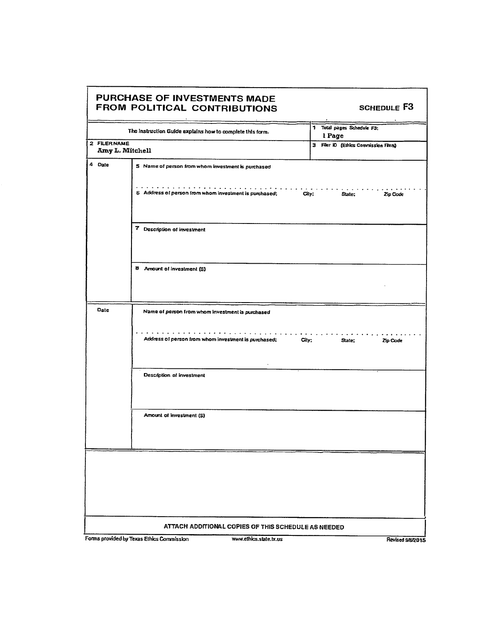|                                | PURCHASE OF INVESTMENTS MADE<br>FROM POLITICAL CONTRIBUTIONS        | <b>SCHEDULE F3</b>                    |
|--------------------------------|---------------------------------------------------------------------|---------------------------------------|
|                                | The Instruction Guide explains how to complete this form.           | 1 Total pages Schedule F3;<br>1 Page  |
| 2 FILERNAME<br>Amy L. Mitchell |                                                                     | 3 Filer ID (Ethics Commission Filers) |
| 4 Date                         | 5 Name of person from whom investment is purchased                  |                                       |
|                                | 6 Address of person from whom investment is purchased;<br>City;     | State;<br>Zip Code                    |
|                                | 7 Description of investment                                         |                                       |
|                                | 8 Amount of investment (S)                                          |                                       |
| Date                           | Name of person from whom investment is purchased                    |                                       |
|                                | Address of person from whom investment is purchased;<br>City:       | State;<br>Zip Code                    |
|                                | Description of investment                                           |                                       |
|                                | Amount of investment (S)                                            |                                       |
|                                |                                                                     |                                       |
|                                | ATTACH ADDITIONAL COPIES OF THIS SCHEDULE AS NEEDED                 |                                       |
|                                | Forms provided by Texas Ethics Commission<br>www.ethics.state.tx.us | Revised 9/8/2015                      |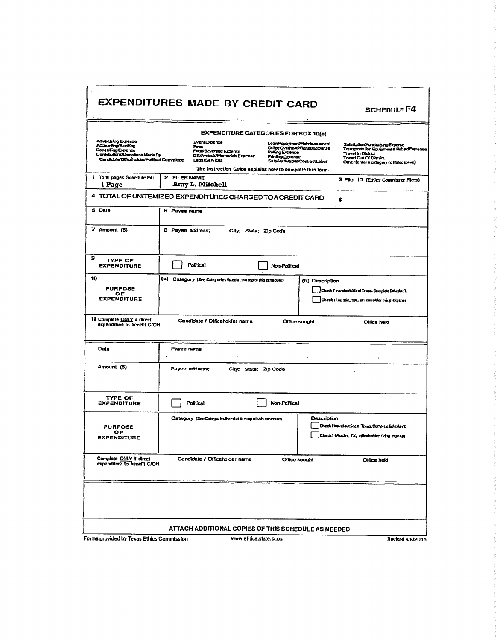| <b>Advenising Expense</b><br>Accounting Banking<br>Consulting Expense<br>Contributions/Donafons Made By<br>Candidate Office holder/Political Committee | <b>EXPENDITURE CATEGORIES FOR BOX 10(8)</b><br><b>EventExpense</b><br>Fres<br>Focd/Beverage Expense<br>GIVAwards/Memorials Expense<br><b>LegalServices</b> | Loan Repayment/Romburgement<br>Office Overhead/Rental Expense<br>Poling Expense<br>Printing Expense<br>Salarius/Wages/Contract Labor | Solicitation/Fundralsing Expense<br>Transportation Equipment & Related Expense<br><b>Travel In District</b><br><b>Travel Out Of District</b><br>Other (enter a category notifisted above) |
|--------------------------------------------------------------------------------------------------------------------------------------------------------|------------------------------------------------------------------------------------------------------------------------------------------------------------|--------------------------------------------------------------------------------------------------------------------------------------|-------------------------------------------------------------------------------------------------------------------------------------------------------------------------------------------|
|                                                                                                                                                        | The instruction Guide explains how to complete this form.                                                                                                  |                                                                                                                                      |                                                                                                                                                                                           |
| 1 Total pages Schedule F4:<br>l Page                                                                                                                   | 2 FILER NAME<br><b>Amy L. Mitchell</b>                                                                                                                     |                                                                                                                                      | 3 Filer ID (Ethics Commission Filers)                                                                                                                                                     |
|                                                                                                                                                        | 4 TOTAL OF UNITEMIZED EXPENDITURES CHARGED TO A CREDIT CARD                                                                                                |                                                                                                                                      | s                                                                                                                                                                                         |
| 5 Date                                                                                                                                                 | 6 Payee name                                                                                                                                               |                                                                                                                                      |                                                                                                                                                                                           |
| 7 Amount (S)                                                                                                                                           | <b>8</b> Payee address;<br>City; State; Zip Code                                                                                                           |                                                                                                                                      |                                                                                                                                                                                           |
| э<br>TYPE OF<br><b>EXPENDITURE</b>                                                                                                                     | <b>Political</b>                                                                                                                                           | Non-Political                                                                                                                        |                                                                                                                                                                                           |
| 10<br><b>PURPOSE</b><br>ОF<br><b>EXPENDITURE</b>                                                                                                       | (a) Category (See Categories fisted at the top of this schedule)                                                                                           | (b) Description                                                                                                                      | Check it traveloutskie of Texas. Complete Schedule T.<br>Check if Au stin, TX, officaholder fring expense                                                                                 |
| 11 Complete ONLY il direct<br>expenditure to benefit C/OH                                                                                              | Candidate / Officeholder name                                                                                                                              | Office sought                                                                                                                        | Office held                                                                                                                                                                               |
| <b>Date</b>                                                                                                                                            | Payee name                                                                                                                                                 |                                                                                                                                      |                                                                                                                                                                                           |
| Amount (S)                                                                                                                                             | Payee address;<br>City; State; Zip Code                                                                                                                    |                                                                                                                                      |                                                                                                                                                                                           |
| TYPE OF<br><b>EXPENDITURE</b>                                                                                                                          | Political                                                                                                                                                  | Non-Political                                                                                                                        |                                                                                                                                                                                           |
| <b>PURPOSE</b><br>ОF<br><b>EXPENDITURE</b>                                                                                                             | Category (See Categories listed at the top of this schedule)                                                                                               | <b>Description</b>                                                                                                                   | Check it travel outside of Texas, Complete Schedule T.<br>Check i (Auslin, TX, officeholder fiving expense                                                                                |
| Complete ONLY if direct<br>expenditure to benefit C/OH                                                                                                 | Candidate / Officeholder name                                                                                                                              | Office sought                                                                                                                        | Office held                                                                                                                                                                               |
|                                                                                                                                                        |                                                                                                                                                            |                                                                                                                                      |                                                                                                                                                                                           |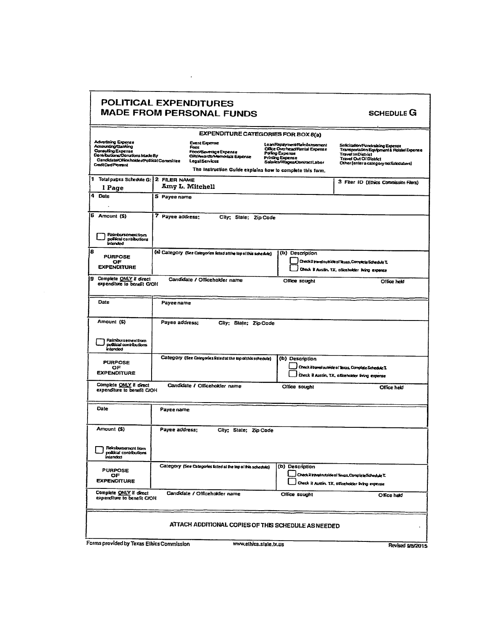| POLITICAL EXPENDITURES                                                                                                                                                        | <b>MADE FROM PERSONAL FUNDS</b>                                                                                                                                |                                                                                                                                             | <b>SCHEDULE G</b>                                                                                                                                                                         |
|-------------------------------------------------------------------------------------------------------------------------------------------------------------------------------|----------------------------------------------------------------------------------------------------------------------------------------------------------------|---------------------------------------------------------------------------------------------------------------------------------------------|-------------------------------------------------------------------------------------------------------------------------------------------------------------------------------------------|
|                                                                                                                                                                               |                                                                                                                                                                | <b>EXPENDITURE CATEGORIES FOR BOX 8(a)</b>                                                                                                  |                                                                                                                                                                                           |
| Advertising Expense<br>Accounting/Banking<br><b>Consulting Expense</b><br>Contributions/Donations Made By<br>Candidate/Officeholder/Political Committee<br>Credi Card Payment | Event Expense<br>Focs<br>Food Beverage Expense<br>Gilt/Awards/Memorials Expense<br>Legal Services<br>The Instruction Guide explains how to complete this form. | Loan Repayment/Reinburgement<br>Office Overhead/Rental Expense<br>Poling Expense<br><b>Printing Expense</b><br>Salaries/Wages/ContractLabor | Solicitation/Fundralsing Expense<br>Transportation Equipment & Related Expense<br><b>Travel In District</b><br><b>Travel Out Of District</b><br>Other (enter a category not fisted above) |
| 1 Total pages Schedule G: 2 FILER NAME<br>l Page                                                                                                                              | Amy L. Mitchell                                                                                                                                                |                                                                                                                                             | 3 Fiter ID (Ethics Commission Filers)                                                                                                                                                     |
| 4 Date<br>5 Payee name                                                                                                                                                        |                                                                                                                                                                |                                                                                                                                             |                                                                                                                                                                                           |
| 6 Amount (\$)<br>Reimbursement from<br>political contributions<br>intended                                                                                                    | 7 Payee address:<br>City; State; Zip Code                                                                                                                      |                                                                                                                                             |                                                                                                                                                                                           |
| 8<br><b>PURPOSE</b><br>OF<br><b>EXPENDITURE</b>                                                                                                                               | (a) Category (See Categories listed atthe top of this schedule)                                                                                                | (b) Description                                                                                                                             | Check II traveloutside of Texas, Complete Schedule T.<br>Check if Austin, TX, officeholder fiving expense                                                                                 |
| Complete ONLY if direct<br>9.<br>expenditure to benefit C/OH                                                                                                                  | Candidate / Officeholder name                                                                                                                                  | Office sought                                                                                                                               | Office held                                                                                                                                                                               |
| Date                                                                                                                                                                          | Payee name                                                                                                                                                     |                                                                                                                                             |                                                                                                                                                                                           |
| Amount (\$)<br>Reimbursementfrom<br>political contributions<br>intended                                                                                                       | Payee address;<br>City; State; Zip Code                                                                                                                        |                                                                                                                                             |                                                                                                                                                                                           |
| <b>PURPOSE</b><br>OF<br><b>EXPENDITURE</b>                                                                                                                                    | Category (See Categories Ested at the top of this schedule)                                                                                                    | (b) Description                                                                                                                             | Check il bavel ou bide of Texas, Complete Schedule T.<br>Check il Austin, TX, officeholder fring expense                                                                                  |
| Complete ONLY if direct<br>expenditure to benefit C/OH                                                                                                                        | Candidate / Officeholder name                                                                                                                                  | Office sought                                                                                                                               | Office held                                                                                                                                                                               |
| <b>Date</b>                                                                                                                                                                   | Payee name                                                                                                                                                     |                                                                                                                                             |                                                                                                                                                                                           |
| Amount (S)<br>Reinbursenent from<br>polical contributions<br>intendad                                                                                                         | Payee address;<br>City; State; Zip Code                                                                                                                        |                                                                                                                                             |                                                                                                                                                                                           |
| <b>PURPOSE</b><br>OF<br><b>EXPENDITURE</b>                                                                                                                                    | Category (See Categories Ested at the top of this schedule)                                                                                                    | (b) Description                                                                                                                             | Check il travel nutside al Texas, Complete Schedule T.<br>Check if Austin. TX, officeholder fiving expense                                                                                |
| Complete ONLY if direct<br>expenditure to benefit C/OH                                                                                                                        | Candidate / Officeholder name                                                                                                                                  | Office sought                                                                                                                               | Office had                                                                                                                                                                                |
|                                                                                                                                                                               | ATTACH ADDITIONAL COPIES OF THIS SCHEDULE AS NEEDED                                                                                                            |                                                                                                                                             |                                                                                                                                                                                           |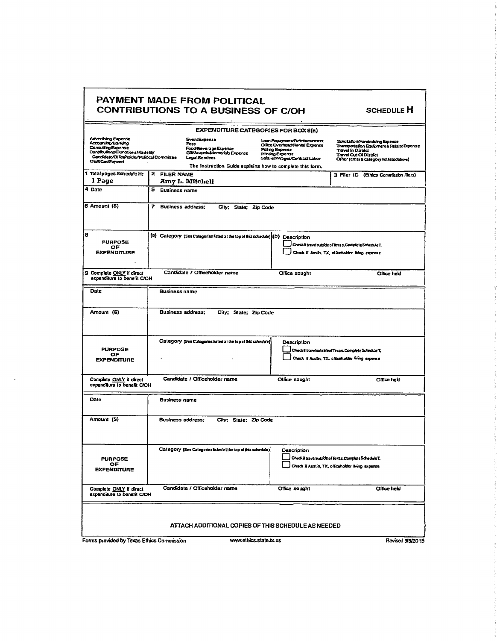|                                                                                                                                                                                     |                          | PAYMENT MADE FROM POLITICAL<br><b>CONTRIBUTIONS TO A BUSINESS OF C/OH</b>                           |                                                                                                                                                                                                   | SCHEDULE H                                                                                                                                                                     |
|-------------------------------------------------------------------------------------------------------------------------------------------------------------------------------------|--------------------------|-----------------------------------------------------------------------------------------------------|---------------------------------------------------------------------------------------------------------------------------------------------------------------------------------------------------|--------------------------------------------------------------------------------------------------------------------------------------------------------------------------------|
| <b>Advertising Expense</b><br>Accounting Banking<br>Consulting Expense<br>Contributions/DonationsMadeBy<br>Candidate/Officeholder/Political Committee<br><b>Credit Card Payment</b> |                          | <b>EventExpense</b><br>Fees<br>Food/BeverageExpense<br>GIVAwards Memorials Expense<br>LegalServices | <b>EXPENDITURE CATEGORIES FOR BOX 8(a)</b><br>Loan Repayment/Reinfoursement<br>Olfice Overhead/Renial Expense<br><b>Poling Expense</b><br><b>Printing Expense</b><br>Salares/Wages/Contract Labor | Sofciation/Fundralsing Expense<br>Transportation Equipment & RetaindExpense<br><b>Travel In District</b><br>Travel Out Of District<br>Other (enter a category not listodabove) |
| 1 Total pages Schedule H:<br>1 Page                                                                                                                                                 | 2 FILER NAME             |                                                                                                     | The Instruction Guide explains how to complete this form.                                                                                                                                         | 3 Filer ID (Ethics Commission Flers)                                                                                                                                           |
| 4 Date                                                                                                                                                                              | 5 Business name          | Amy L. Mitchell                                                                                     |                                                                                                                                                                                                   |                                                                                                                                                                                |
| 6 Amount (S)                                                                                                                                                                        | 7 Business address;      | City; State; Zip Code                                                                               |                                                                                                                                                                                                   |                                                                                                                                                                                |
| 8<br><b>PURPOSE</b><br>ОF<br><b>EXPENDITURE</b>                                                                                                                                     |                          | (a) Category (See Categories Asted at the top of this schedule) (b) Description                     |                                                                                                                                                                                                   | Checkil travel subside of Texas, Complete Schecule T.<br>Check II Austin, TX, officeholder living expense                                                                      |
| 9 Complete ONLY if direct<br>expenditure to benefit C/OH                                                                                                                            |                          | Candidate / Officeholder name                                                                       | Office sought                                                                                                                                                                                     | Office held                                                                                                                                                                    |
| Date                                                                                                                                                                                | <b>Business name</b>     |                                                                                                     |                                                                                                                                                                                                   |                                                                                                                                                                                |
| Amouni (S)                                                                                                                                                                          | Business address;        | City; State; Zip Code                                                                               |                                                                                                                                                                                                   |                                                                                                                                                                                |
| <b>PURPOSE</b><br>OF<br><b>EXPENDITURE</b>                                                                                                                                          |                          | Category (See Categories Ested at the top of this schedule)                                         | Description                                                                                                                                                                                       | Check ii travel autside of Texas. Complete Schedule T.<br>Check if Austin, TX, officeholder fiving expense                                                                     |
| Complete ONLY if direct<br>expenditure to benefit C/OH                                                                                                                              |                          | Candidate / Officeholder name                                                                       | Office sought                                                                                                                                                                                     | Office held                                                                                                                                                                    |
| Date                                                                                                                                                                                | <b>Business name</b>     |                                                                                                     |                                                                                                                                                                                                   |                                                                                                                                                                                |
| Amount (S)                                                                                                                                                                          | <b>Business address:</b> | City; State: Zip Code                                                                               |                                                                                                                                                                                                   |                                                                                                                                                                                |
| <b>PURPOSE</b><br>OF.<br><b>EXPENDITURE</b>                                                                                                                                         |                          | Category (See Categories Ested at the top of this schedule)                                         | Description                                                                                                                                                                                       | Phock ii travei outside of Texas. Complete Schedule T.<br>Check II Austin, TX, officeholder living expense                                                                     |
| Complete ONLY If direct<br>expenditure to benefit C/OH                                                                                                                              |                          | Candidate / Officeholder name                                                                       | Office sought                                                                                                                                                                                     | Office held                                                                                                                                                                    |
|                                                                                                                                                                                     |                          |                                                                                                     | ATTACH ADDITIONAL COPIES OF THIS SCHEDULE AS NEEDED                                                                                                                                               |                                                                                                                                                                                |
| Forms provided by Texas Ethics Commission                                                                                                                                           |                          |                                                                                                     | www.ethics.state.tx.us                                                                                                                                                                            | Revised 9/8/2015                                                                                                                                                               |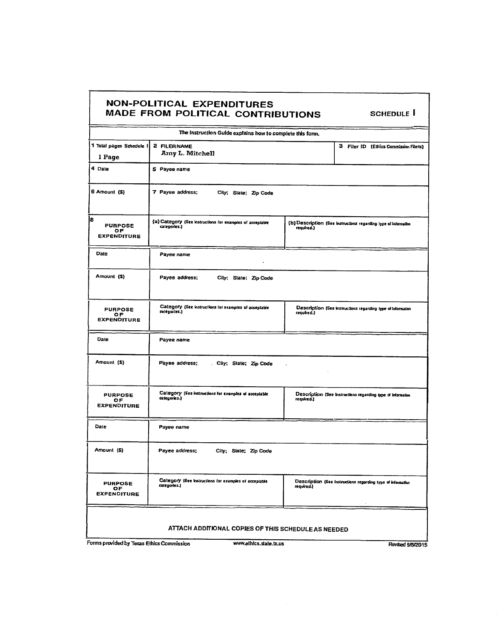## NON-POLITICAL EXPENDITURES MADE FROM POLITICAL CONTRIBUTIONS SCHEDULE I

| The Instruction Guide explains how to complete this form.                               |                                                                           |                                                                               |  |  |  |
|-----------------------------------------------------------------------------------------|---------------------------------------------------------------------------|-------------------------------------------------------------------------------|--|--|--|
| 1 Total pages Schedule I<br>l Page                                                      | 2 FILERNAME<br>Amy L. Mitchell                                            | 3 Filer ID (Ethics Commission Filers)                                         |  |  |  |
| 4 Date                                                                                  | 5 Payee name                                                              |                                                                               |  |  |  |
| 6 Amount (S)                                                                            | 7 Payee address;<br>City; State; Zip Code                                 |                                                                               |  |  |  |
| 8<br><b>PURPOSE</b><br>ОF<br><b>EXPENDITURE</b>                                         | (a) Category (See instructions for examples of acceptable<br>categories.) | (b) Description (See instructions regarding type of Information<br>required.) |  |  |  |
| Date                                                                                    | Payee name                                                                |                                                                               |  |  |  |
| Amount (\$)                                                                             | Payee address;<br>City; State: Zip Code                                   |                                                                               |  |  |  |
| <b>PURPOSE</b><br>ОF<br><b>EXPENDITURE</b>                                              | Category (See Instructions for examples of acceptable<br>ralegories.)     | Description (See Instructions regarding type of Information<br>required.)     |  |  |  |
| Date                                                                                    | Payee name                                                                |                                                                               |  |  |  |
| Amount (S)                                                                              | Payee address;<br>City; State; Zip Code                                   |                                                                               |  |  |  |
| <b>PURPOSE</b><br>ОF<br><b>EXPENDITURE</b>                                              | Category (See instructions for examples of acceptable<br>categories.)     | Description (See Instructions regarding type of information<br>required.}     |  |  |  |
| Date                                                                                    | Payee name                                                                |                                                                               |  |  |  |
| Amount (S)                                                                              | Payee address;<br>City; State; Zip Code                                   |                                                                               |  |  |  |
| <b>PURPOSE</b><br>OF.<br><b>EXPENDITURE</b>                                             | Category (See Instructions for examples of acceptable<br>categories.)     | Description (See instructions regarding type of information<br>(Logical)      |  |  |  |
| ATTACH ADDITIONAL COPIES OF THIS SCHEDULE AS NEEDED                                     |                                                                           |                                                                               |  |  |  |
| Forms provided by Texas Ethics Commission<br>www.ethics.state.tx.us<br>Revised 9/8/2015 |                                                                           |                                                                               |  |  |  |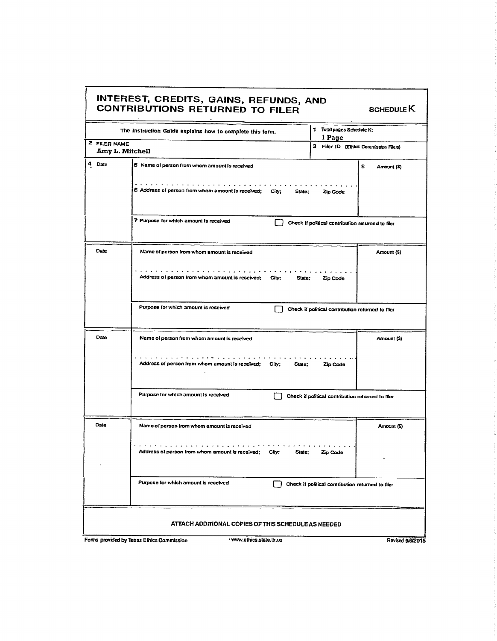|                                                     | INTEREST, CREDITS, GAINS, REFUNDS, AND<br><b>CONTRIBUTIONS RETURNED TO FILER</b> |                                                   | SCHEDULE <sub>K</sub>                 |  |
|-----------------------------------------------------|----------------------------------------------------------------------------------|---------------------------------------------------|---------------------------------------|--|
|                                                     | The Instruction Guide explains how to complete this form.                        | 1 Total pages Schedule K:<br>l Page               |                                       |  |
| 2 FILER NAME<br><b>Amy L. Mitchell</b>              |                                                                                  |                                                   | 3 Filer ID (Ethics Commission Filers) |  |
| Date                                                | 5 Name of person from whom amount is received                                    |                                                   | 8<br>Amount (\$)                      |  |
|                                                     | 6 Address of person from whom amount is received; City;<br>State:                | Zip Code                                          |                                       |  |
|                                                     | 7 Purpose for which amount is received                                           | Check if political contribution returned to filer |                                       |  |
| Date                                                | Name of person from whom amount is received                                      |                                                   | Amount (\$)                           |  |
|                                                     | Address of person from whom amount is received;<br>City;<br>State:               | Zip Code                                          |                                       |  |
|                                                     | Purpose for which amount is received                                             | Check if political contribution returned to filer |                                       |  |
| Date                                                | Name of person from whom amount is received                                      |                                                   | Amount (\$)                           |  |
|                                                     | Address of person from whom amount is received;<br>City,<br>State;               | Zip Code                                          |                                       |  |
|                                                     | Purpose for which amount is received                                             | Check if political contribution returned to filer |                                       |  |
| Date                                                | Name of person from whom amount is received                                      |                                                   | Amount (S)                            |  |
|                                                     | Address<br>City:<br>Siate:                                                       |                                                   |                                       |  |
|                                                     | Purpose for which amount is received                                             | Check if political contribution returned to filer |                                       |  |
| ATTACH ADDITIONAL COPIES OF THIS SCHEDULE AS NEEDED |                                                                                  |                                                   |                                       |  |
|                                                     | Forms provided by Texas Ethics Commission<br>· www.elhics.slate.tx.us            |                                                   | Revised B/8/2015                      |  |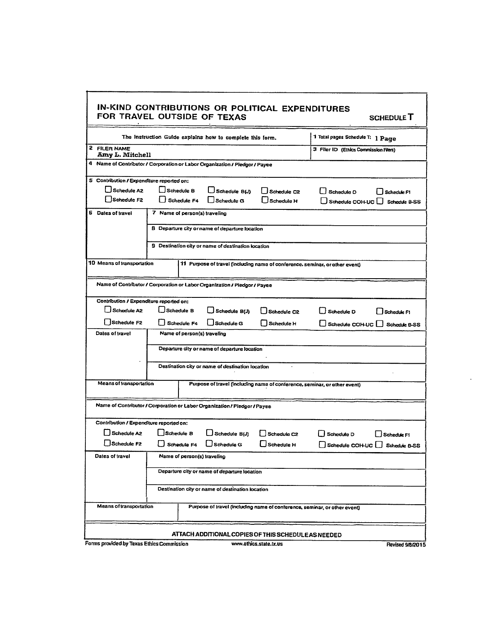| FOR TRAVEL OUTSIDE OF TEXAS                                                                                 |                                                                                 |                         | IN-KIND CONTRIBUTIONS OR POLITICAL EXPENDITURES                              |                                       |                     | <b>SCHEDULE T</b> |
|-------------------------------------------------------------------------------------------------------------|---------------------------------------------------------------------------------|-------------------------|------------------------------------------------------------------------------|---------------------------------------|---------------------|-------------------|
| The instruction Guide explains how to complete this form.                                                   |                                                                                 |                         |                                                                              | 1 Total pages Schedule T: 1 Page      |                     |                   |
| 2 FILER NAME<br>Amy L. Mitchell                                                                             |                                                                                 |                         |                                                                              | 3 Filer ID (Ethics Commission Filers) |                     |                   |
| 4 Name of Contributor / Corporation or Labor Organization / Pledgor / Payee                                 |                                                                                 |                         |                                                                              |                                       |                     |                   |
| 5 Contribution / Expenditure reported on:                                                                   |                                                                                 |                         |                                                                              |                                       |                     |                   |
| Schedule A2                                                                                                 | $\Box$ Schedule B<br>$\bigcup$ Schedule $B(J)$<br>Schedule C2<br>L I Schedule D |                         |                                                                              |                                       | Schedule F1         |                   |
| Schedule F2                                                                                                 |                                                                                 | $\bigsqcup$ Schedule F4 | Schedule G                                                                   | LJ Schedule H                         | Schedule COH-UC     | Schedule B-SS     |
| <b>6</b> Dates of travel                                                                                    | 7 Name of person(s) traveling                                                   |                         |                                                                              |                                       |                     |                   |
|                                                                                                             | B Departure city or name of departure location                                  |                         |                                                                              |                                       |                     |                   |
|                                                                                                             | 9 Destination city or name of destination location                              |                         |                                                                              |                                       |                     |                   |
| 10 Means of transportation                                                                                  |                                                                                 |                         | 11 Purpose of travel (including name of conference, seminar, or other event) |                                       |                     |                   |
|                                                                                                             |                                                                                 |                         | Name of Contributor / Corporation or Labor Organization / Piedgor / Payee    |                                       |                     |                   |
| Contribution / Expenditure reported on:                                                                     |                                                                                 |                         |                                                                              |                                       |                     |                   |
| $\Box$ Schedule A2                                                                                          | Schedule B                                                                      |                         | Schedule B(J)                                                                | Schedule C <sub>2</sub>               | Schedule D          | Schedule F1       |
| Schedule F2                                                                                                 |                                                                                 | Schedule F4             | $\bigcup$ Schedule G                                                         | <b>Schedule H</b>                     | U Schedule COH-UC L | Schedule B-SS     |
| Dates of travel<br>Name of person(s) traveling                                                              |                                                                                 |                         |                                                                              |                                       |                     |                   |
| Departure city or name of departure location                                                                |                                                                                 |                         |                                                                              |                                       |                     |                   |
| Destination city or name of destination location                                                            |                                                                                 |                         |                                                                              |                                       |                     |                   |
| Means of transportation<br>Purpose of travel (including name of conference, seminar, or other event)        |                                                                                 |                         |                                                                              |                                       |                     |                   |
| Name of Contributor / Corporation or Labor Organization / Pledgor / Payee                                   |                                                                                 |                         |                                                                              |                                       |                     |                   |
| Contribution / Expenditure reported on:                                                                     |                                                                                 |                         |                                                                              |                                       |                     |                   |
| Schedule A2                                                                                                 | Schedule B                                                                      |                         | $\bigcup$ Schedule $B(J)$                                                    | Schedule C <sub>2</sub>               | Schedule D          | Schedule F1       |
| Schedule F <sub>2</sub>                                                                                     | $\bigcup$ Schedule F4                                                           |                         | $\bigcup$ Schedule G                                                         | ∫Schedule H                           | Schedule COH-UC LJ  | Schedule B-SS     |
| Dates of travel                                                                                             | Name of person(s) traveling                                                     |                         |                                                                              |                                       |                     |                   |
| Departure city or name of departure location                                                                |                                                                                 |                         |                                                                              |                                       |                     |                   |
|                                                                                                             | Destination city or name of destination location                                |                         |                                                                              |                                       |                     |                   |
| <b>Means of transportation</b><br>Purpose of travel (including name of conference, seminar, or other event) |                                                                                 |                         |                                                                              |                                       |                     |                   |
| ATTACH ADDITIONAL COPIES OF THIS SCHEDULE AS NEEDED                                                         |                                                                                 |                         |                                                                              |                                       |                     |                   |
| Forms provided by Texas Ethics Commission<br>www.ethics.state.tx.us<br>Revised 9/8/2015                     |                                                                                 |                         |                                                                              |                                       |                     |                   |